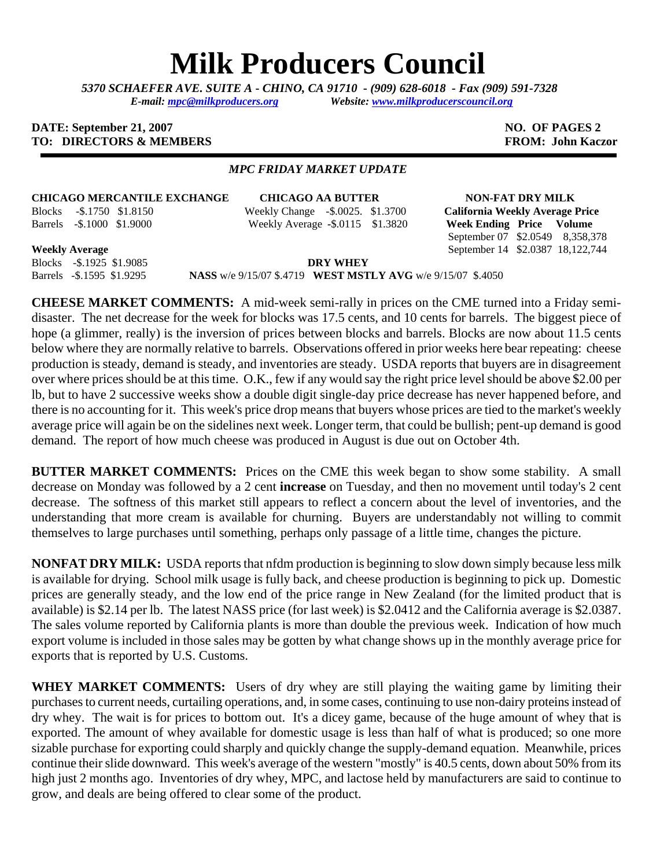# **Milk Producers Council**

*5370 SCHAEFER AVE. SUITE A* **-** *CHINO, CA 91710 - (909) 628-6018 - Fax (909) 591-7328 E-mail: [mpc@milkproducers.org](mailto:mpc@milkproducers.org) Website: [www.milkproducerscouncil.org](http://www.milkproducerscouncil.org/)* 

#### **DATE: September 21, 2007 NO. OF PAGES 2 TO: DIRECTORS & MEMBERS FROM: John Kaczor**

### *MPC FRIDAY MARKET UPDATE*

**CHICAGO MERCANTILE EXCHANGE CHICAGO AA BUTTER NON-FAT DRY MILK**  Blocks -\$.1750 \$1.8150 Weekly Change -\$.0025. \$1.3700 **California Weekly Average Price** 

Barrels -\$.1000 \$1.9000 Weekly Average **-**\$.0115 \$1.3820 **Week Ending Price Volume** 

September 07 \$2.0549 8,358,378 **Weekly Average** September 14 \$2.0387 18,122,744

Blocks -\$.1925 \$1.9085 **DRY WHEY** 

Barrels -\$.1595 \$1.9295 **NASS** w/e 9/15/07 \$.4719 **WEST MSTLY AVG** w/e 9/15/07 \$.4050

**CHEESE MARKET COMMENTS:** A mid-week semi-rally in prices on the CME turned into a Friday semidisaster. The net decrease for the week for blocks was 17.5 cents, and 10 cents for barrels. The biggest piece of hope (a glimmer, really) is the inversion of prices between blocks and barrels. Blocks are now about 11.5 cents below where they are normally relative to barrels. Observations offered in prior weeks here bear repeating: cheese production is steady, demand is steady, and inventories are steady. USDA reports that buyers are in disagreement over where prices should be at this time. O.K., few if any would say the right price level should be above \$2.00 per lb, but to have 2 successive weeks show a double digit single-day price decrease has never happened before, and there is no accounting for it. This week's price drop means that buyers whose prices are tied to the market's weekly average price will again be on the sidelines next week. Longer term, that could be bullish; pent-up demand is good demand. The report of how much cheese was produced in August is due out on October 4th.

**BUTTER MARKET COMMENTS:** Prices on the CME this week began to show some stability. A small decrease on Monday was followed by a 2 cent **increase** on Tuesday, and then no movement until today's 2 cent decrease. The softness of this market still appears to reflect a concern about the level of inventories, and the understanding that more cream is available for churning. Buyers are understandably not willing to commit themselves to large purchases until something, perhaps only passage of a little time, changes the picture.

**NONFAT DRY MILK:** USDA reports that nfdm production is beginning to slow down simply because less milk is available for drying. School milk usage is fully back, and cheese production is beginning to pick up. Domestic prices are generally steady, and the low end of the price range in New Zealand (for the limited product that is available) is \$2.14 per lb. The latest NASS price (for last week) is \$2.0412 and the California average is \$2.0387. The sales volume reported by California plants is more than double the previous week. Indication of how much export volume is included in those sales may be gotten by what change shows up in the monthly average price for exports that is reported by U.S. Customs.

WHEY MARKET COMMENTS: Users of dry whey are still playing the waiting game by limiting their purchases to current needs, curtailing operations, and, in some cases, continuing to use non-dairy proteins instead of dry whey. The wait is for prices to bottom out. It's a dicey game, because of the huge amount of whey that is exported. The amount of whey available for domestic usage is less than half of what is produced; so one more sizable purchase for exporting could sharply and quickly change the supply-demand equation. Meanwhile, prices continue their slide downward. This week's average of the western "mostly" is 40.5 cents, down about 50% from its high just 2 months ago. Inventories of dry whey, MPC, and lactose held by manufacturers are said to continue to grow, and deals are being offered to clear some of the product.